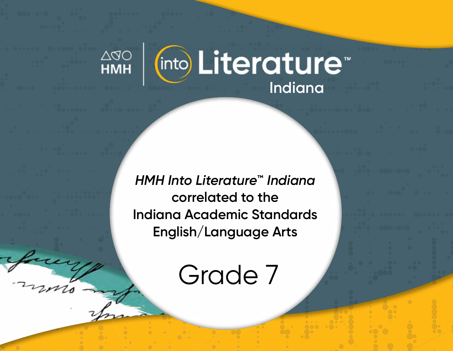

*HMH Into Literature***™** *Indiana* **correlated to the Indiana Academic Standards English/Language Arts** 

Grade 7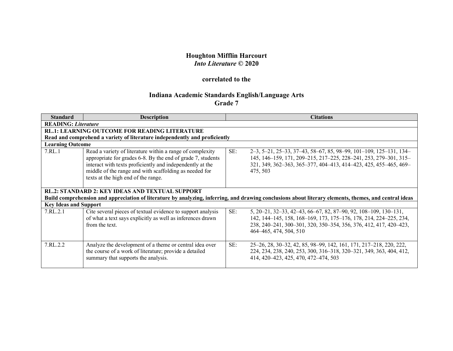## **Houghton Mifflin Harcourt** *Into Literature* **© 2020**

## **correlated to the**

## **Indiana Academic Standards English/Language Arts Grade 7**

| <b>Standard</b>                                                                                                                                        | <b>Description</b>                                                                                                                                                                                                                                                                     |     | <b>Citations</b>                                                                                                                                                                                                                    |  |
|--------------------------------------------------------------------------------------------------------------------------------------------------------|----------------------------------------------------------------------------------------------------------------------------------------------------------------------------------------------------------------------------------------------------------------------------------------|-----|-------------------------------------------------------------------------------------------------------------------------------------------------------------------------------------------------------------------------------------|--|
| <b>READING: Literature</b>                                                                                                                             |                                                                                                                                                                                                                                                                                        |     |                                                                                                                                                                                                                                     |  |
|                                                                                                                                                        | <b>RL.1: LEARNING OUTCOME FOR READING LITERATURE</b>                                                                                                                                                                                                                                   |     |                                                                                                                                                                                                                                     |  |
|                                                                                                                                                        | Read and comprehend a variety of literature independently and proficiently                                                                                                                                                                                                             |     |                                                                                                                                                                                                                                     |  |
|                                                                                                                                                        | <b>Learning Outcome</b>                                                                                                                                                                                                                                                                |     |                                                                                                                                                                                                                                     |  |
| 7.RL.1                                                                                                                                                 | Read a variety of literature within a range of complexity<br>appropriate for grades 6-8. By the end of grade 7, students<br>interact with texts proficiently and independently at the<br>middle of the range and with scaffolding as needed for<br>texts at the high end of the range. | SE: | $2-3, 5-21, 25-33, 37-43, 58-67, 85, 98-99, 101-109, 125-131, 134-$<br>145, 146-159, 171, 209-215, 217-225, 228-241, 253, 279-301, 315-<br>321, 349, 362-363, 365-377, 404-413, 414-423, 425, 455-465, 469-<br>475, 503             |  |
| <b>RL.2: STANDARD 2: KEY IDEAS AND TEXTUAL SUPPORT</b>                                                                                                 |                                                                                                                                                                                                                                                                                        |     |                                                                                                                                                                                                                                     |  |
| Build comprehension and appreciation of literature by analyzing, inferring, and drawing conclusions about literary elements, themes, and central ideas |                                                                                                                                                                                                                                                                                        |     |                                                                                                                                                                                                                                     |  |
| <b>Key Ideas and Support</b>                                                                                                                           |                                                                                                                                                                                                                                                                                        |     |                                                                                                                                                                                                                                     |  |
| 7.RL.2.1                                                                                                                                               | Cite several pieces of textual evidence to support analysis<br>of what a text says explicitly as well as inferences drawn<br>from the text.                                                                                                                                            | SE: | 5, 20–21, 32–33, 42–43, 66–67, 82, 87–90, 92, 108–109, 130–131,<br>142, 144–145, 158, 168–169, 173, 175–176, 178, 214, 224–225, 234,<br>238, 240-241, 300-301, 320, 350-354, 356, 376, 412, 417, 420-423,<br>464–465, 474, 504, 510 |  |
| 7.RL.2.2                                                                                                                                               | Analyze the development of a theme or central idea over<br>the course of a work of literature; provide a detailed<br>summary that supports the analysis.                                                                                                                               | SE: | 25–26, 28, 30–32, 42, 85, 98–99, 142, 161, 171, 217–218, 220, 222,<br>224, 234, 238, 240, 253, 300, 316-318, 320-321, 349, 363, 404, 412,<br>414, 420-423, 425, 470, 472-474, 503                                                   |  |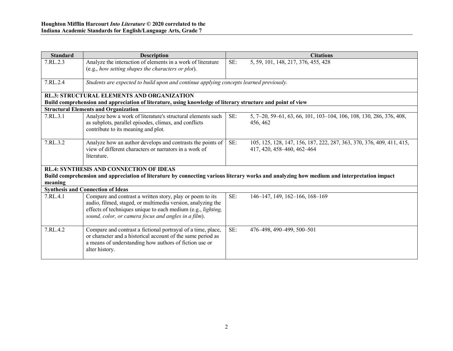| <b>Standard</b>                                                                                                                                       | <b>Description</b>                                                                                                                                                                                                                               |     | <b>Citations</b>                                                                                    |  |
|-------------------------------------------------------------------------------------------------------------------------------------------------------|--------------------------------------------------------------------------------------------------------------------------------------------------------------------------------------------------------------------------------------------------|-----|-----------------------------------------------------------------------------------------------------|--|
| 7.RL.2.3                                                                                                                                              | Analyze the interaction of elements in a work of literature<br>(e.g., how setting shapes the characters or plot).                                                                                                                                | SE: | 5, 59, 101, 148, 217, 376, 455, 428                                                                 |  |
| 7.RL.2.4                                                                                                                                              | Students are expected to build upon and continue applying concepts learned previously.                                                                                                                                                           |     |                                                                                                     |  |
|                                                                                                                                                       | <b>RL.3: STRUCTURAL ELEMENTS AND ORGANIZATION</b>                                                                                                                                                                                                |     |                                                                                                     |  |
|                                                                                                                                                       | Build comprehension and appreciation of literature, using knowledge of literary structure and point of view                                                                                                                                      |     |                                                                                                     |  |
|                                                                                                                                                       | <b>Structural Elements and Organization</b>                                                                                                                                                                                                      |     |                                                                                                     |  |
| 7.RL.3.1                                                                                                                                              | Analyze how a work of literature's structural elements such<br>as subplots, parallel episodes, climax, and conflicts<br>contribute to its meaning and plot.                                                                                      | SE: | 5, 7-20, 59-61, 63, 66, 101, 103-104, 106, 108, 130, 286, 376, 408,<br>456, 462                     |  |
| 7.RL.3.2                                                                                                                                              | Analyze how an author develops and contrasts the points of<br>view of different characters or narrators in a work of<br>literature.                                                                                                              | SE: | 105, 125, 128, 147, 156, 187, 222, 287, 363, 370, 376, 409, 411, 415,<br>417, 420, 458-460, 462-464 |  |
|                                                                                                                                                       | <b>RL.4: SYNTHESIS AND CONNECTION OF IDEAS</b>                                                                                                                                                                                                   |     |                                                                                                     |  |
| Build comprehension and appreciation of literature by connecting various literary works and analyzing how medium and interpretation impact<br>meaning |                                                                                                                                                                                                                                                  |     |                                                                                                     |  |
|                                                                                                                                                       | <b>Synthesis and Connection of Ideas</b>                                                                                                                                                                                                         |     |                                                                                                     |  |
| 7.RL.4.1                                                                                                                                              | Compare and contrast a written story, play or poem to its<br>audio, filmed, staged, or multimedia version, analyzing the<br>effects of techniques unique to each medium (e.g., lighting,<br>sound, color, or camera focus and angles in a film). | SE: | 146-147, 149, 162-166, 168-169                                                                      |  |
| 7.RL.4.2                                                                                                                                              | Compare and contrast a fictional portrayal of a time, place,<br>or character and a historical account of the same period as<br>a means of understanding how authors of fiction use or<br>alter history.                                          | SE: | 476-498, 490-499, 500-501                                                                           |  |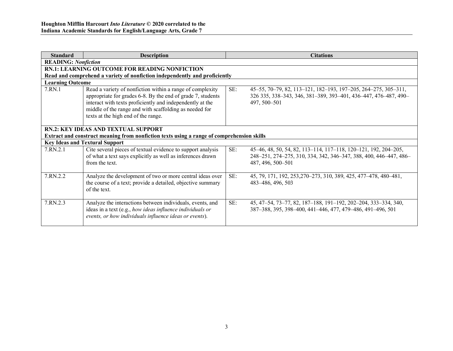| <b>Standard</b>                                                                                                                  | <b>Description</b>                                                                                                                                                                                                                                                                     |     | <b>Citations</b>                                                                                                                                          |
|----------------------------------------------------------------------------------------------------------------------------------|----------------------------------------------------------------------------------------------------------------------------------------------------------------------------------------------------------------------------------------------------------------------------------------|-----|-----------------------------------------------------------------------------------------------------------------------------------------------------------|
| <b>READING: Nonfiction</b>                                                                                                       |                                                                                                                                                                                                                                                                                        |     |                                                                                                                                                           |
|                                                                                                                                  | <b>RN.1: LEARNING OUTCOME FOR READING NONFICTION</b>                                                                                                                                                                                                                                   |     |                                                                                                                                                           |
|                                                                                                                                  | Read and comprehend a variety of nonfiction independently and proficiently                                                                                                                                                                                                             |     |                                                                                                                                                           |
| <b>Learning Outcome</b>                                                                                                          |                                                                                                                                                                                                                                                                                        |     |                                                                                                                                                           |
| 7.RN.1                                                                                                                           | Read a variety of nonfiction within a range of complexity<br>appropriate for grades 6-8. By the end of grade 7, students<br>interact with texts proficiently and independently at the<br>middle of the range and with scaffolding as needed for<br>texts at the high end of the range. | SE: | 45–55, 70–79, 82, 113–121, 182–193, 197–205, 264–275, 305–311,<br>326 335, 338-343, 346, 381-389, 393-401, 436-447, 476-487, 490-<br>497, 500-501         |
| RN.2: KEY IDEAS AND TEXTUAL SUPPORT<br>Extract and construct meaning from nonfiction texts using a range of comprehension skills |                                                                                                                                                                                                                                                                                        |     |                                                                                                                                                           |
|                                                                                                                                  | <b>Key Ideas and Textural Support</b>                                                                                                                                                                                                                                                  |     |                                                                                                                                                           |
| 7.RN.2.1                                                                                                                         | Cite several pieces of textual evidence to support analysis<br>of what a text says explicitly as well as inferences drawn<br>from the text.                                                                                                                                            | SE: | 45-46, 48, 50, 54, 82, 113-114, 117-118, 120-121, 192, 204-205,<br>248-251, 274-275, 310, 334, 342, 346-347, 388, 400, 446-447, 486-<br>487, 496, 500-501 |
| 7.RN.2.2                                                                                                                         | Analyze the development of two or more central ideas over<br>the course of a text; provide a detailed, objective summary<br>of the text.                                                                                                                                               | SE: | 45, 79, 171, 192, 253, 270 - 273, 310, 389, 425, 477 - 478, 480 - 481,<br>483-486, 496, 503                                                               |
| 7.RN.2.3                                                                                                                         | Analyze the interactions between individuals, events, and<br>ideas in a text (e.g., how ideas influence individuals or<br>events, or how individuals influence ideas or events).                                                                                                       | SE: | 45, 47–54, 73–77, 82, 187–188, 191–192, 202–204, 333–334, 340,<br>387-388, 395, 398-400, 441-446, 477, 479-486, 491-496, 501                              |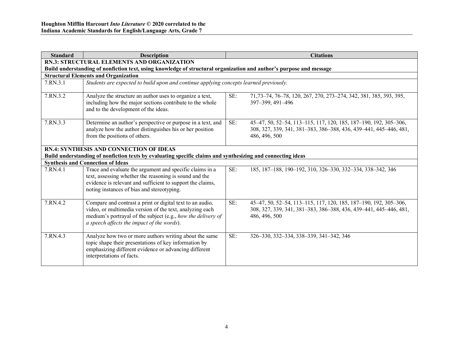| <b>Standard</b> | <b>Description</b>                                                                                                                                                                                                                  |     | <b>Citations</b>                                                                                                                                       |
|-----------------|-------------------------------------------------------------------------------------------------------------------------------------------------------------------------------------------------------------------------------------|-----|--------------------------------------------------------------------------------------------------------------------------------------------------------|
|                 | RN.3: STRUCTURAL ELEMENTS AND ORGANIZATION                                                                                                                                                                                          |     |                                                                                                                                                        |
|                 | Build understanding of nonfiction text, using knowledge of structural organization and author's purpose and message                                                                                                                 |     |                                                                                                                                                        |
|                 | <b>Structural Elements and Organization</b>                                                                                                                                                                                         |     |                                                                                                                                                        |
| 7.RN.3.1        | Students are expected to build upon and continue applying concepts learned previously.                                                                                                                                              |     |                                                                                                                                                        |
| 7.RN.3.2        | Analyze the structure an author uses to organize a text,<br>including how the major sections contribute to the whole<br>and to the development of the ideas.                                                                        | SE: | 71, 73 - 74, 76 - 78, 120, 267, 270, 273 - 274, 342, 381, 385, 393, 395,<br>397-399, 491-496                                                           |
| 7.RN.3.3        | Determine an author's perspective or purpose in a text, and<br>analyze how the author distinguishes his or her position<br>from the positions of others.                                                                            | SE: | 45-47, 50, 52-54, 113-115, 117, 120, 185, 187-190, 192, 305-306,<br>308, 327, 339, 341, 381-383, 386-388, 436, 439-441, 445-446, 481,<br>486, 496, 500 |
|                 | <b>RN.4: SYNTHESIS AND CONNECTION OF IDEAS</b><br>Build understanding of nonfiction texts by evaluating specific claims and synthesizing and connecting ideas                                                                       |     |                                                                                                                                                        |
|                 | <b>Synthesis and Connection of Ideas</b>                                                                                                                                                                                            |     |                                                                                                                                                        |
| 7.RN.4.1        | Trace and evaluate the argument and specific claims in a<br>text, assessing whether the reasoning is sound and the<br>evidence is relevant and sufficient to support the claims,<br>noting instances of bias and stereotyping.      | SE: | 185, 187-188, 190-192, 310, 326-330, 332-334, 338-342, 346                                                                                             |
| 7.RN.4.2        | Compare and contrast a print or digital text to an audio,<br>video, or multimedia version of the text, analyzing each<br>medium's portrayal of the subject (e.g., how the delivery of<br>a speech affects the impact of the words). | SE: | 45-47, 50, 52-54, 113-115, 117, 120, 185, 187-190, 192, 305-306,<br>308, 327, 339, 341, 381-383, 386-388, 436, 439-441, 445-446, 481,<br>486, 496, 500 |
| 7.RN.4.3        | Analyze how two or more authors writing about the same<br>topic shape their presentations of key information by<br>emphasizing different evidence or advancing different<br>interpretations of facts.                               | SE: | 326-330, 332-334, 338-339, 341-342, 346                                                                                                                |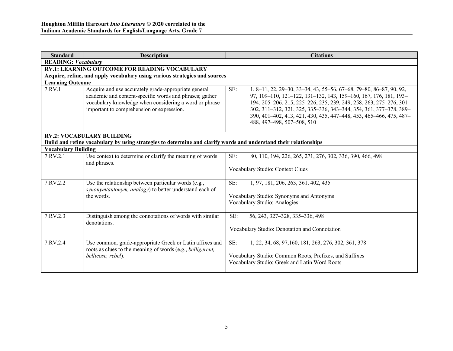| <b>Standard</b>            | <b>Description</b>                                                                                                                                                                                                     | <b>Citations</b>                                                                                                                                                                                                                                                                                                                                                                             |
|----------------------------|------------------------------------------------------------------------------------------------------------------------------------------------------------------------------------------------------------------------|----------------------------------------------------------------------------------------------------------------------------------------------------------------------------------------------------------------------------------------------------------------------------------------------------------------------------------------------------------------------------------------------|
| <b>READING:</b> Vocabulary |                                                                                                                                                                                                                        |                                                                                                                                                                                                                                                                                                                                                                                              |
|                            | <b>RV.1: LEARNING OUTCOME FOR READING VOCABULARY</b>                                                                                                                                                                   |                                                                                                                                                                                                                                                                                                                                                                                              |
|                            | Acquire, refine, and apply vocabulary using various strategies and sources                                                                                                                                             |                                                                                                                                                                                                                                                                                                                                                                                              |
| <b>Learning Outcome</b>    |                                                                                                                                                                                                                        |                                                                                                                                                                                                                                                                                                                                                                                              |
| 7.RV.1                     | Acquire and use accurately grade-appropriate general<br>academic and content-specific words and phrases; gather<br>vocabulary knowledge when considering a word or phrase<br>important to comprehension or expression. | SE:<br>1, 8-11, 22, 29-30, 33-34, 43, 55-56, 67-68, 79-80, 86-87, 90, 92,<br>97, 109-110, 121-122, 131-132, 143, 159-160, 167, 176, 181, 193-<br>194, 205-206, 215, 225-226, 235, 239, 249, 258, 263, 275-276, 301-<br>302, 311-312, 321, 325, 335-336, 343-344, 354, 361, 377-378, 389-<br>390, 401-402, 413, 421, 430, 435, 447-448, 453, 465-466, 475, 487-<br>488, 497-498, 507-508, 510 |
|                            | <b>RV.2: VOCABULARY BUILDING</b>                                                                                                                                                                                       |                                                                                                                                                                                                                                                                                                                                                                                              |
|                            | Build and refine vocabulary by using strategies to determine and clarify words and understand their relationships                                                                                                      |                                                                                                                                                                                                                                                                                                                                                                                              |
| <b>Vocabulary Building</b> |                                                                                                                                                                                                                        |                                                                                                                                                                                                                                                                                                                                                                                              |
| 7.RV.2.1                   | Use context to determine or clarify the meaning of words<br>and phrases.                                                                                                                                               | SE:<br>80, 110, 194, 226, 265, 271, 276, 302, 336, 390, 466, 498<br>Vocabulary Studio: Context Clues                                                                                                                                                                                                                                                                                         |
|                            |                                                                                                                                                                                                                        |                                                                                                                                                                                                                                                                                                                                                                                              |
| 7.RV.2.2                   | Use the relationship between particular words (e.g.,<br>synonym/antonym, analogy) to better understand each of<br>the words                                                                                            | SE:<br>1, 97, 181, 206, 263, 361, 402, 435<br>Vocabulary Studio: Synonyms and Antonyms<br>Vocabulary Studio: Analogies                                                                                                                                                                                                                                                                       |
| 7.RV.2.3                   | Distinguish among the connotations of words with similar<br>denotations.                                                                                                                                               | SE:<br>56, 243, 327-328, 335-336, 498<br>Vocabulary Studio: Denotation and Connotation                                                                                                                                                                                                                                                                                                       |
| 7.RV.2.4                   | Use common, grade-appropriate Greek or Latin affixes and<br>roots as clues to the meaning of words (e.g., belligerent,<br>bellicose, rebel).                                                                           | SE:<br>1, 22, 34, 68, 97, 160, 181, 263, 276, 302, 361, 378<br>Vocabulary Studio: Common Roots, Prefixes, and Suffixes<br>Vocabulary Studio: Greek and Latin Word Roots                                                                                                                                                                                                                      |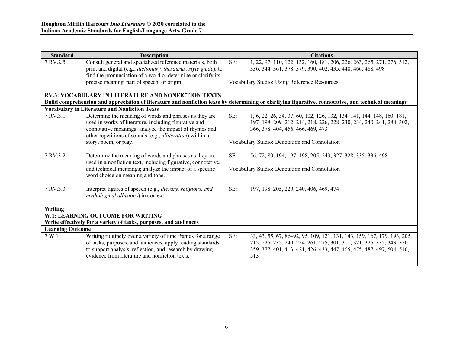| <b>Standard</b>         | <b>Description</b>                                                                                     | <b>Citations</b>                                                                                                                                     |
|-------------------------|--------------------------------------------------------------------------------------------------------|------------------------------------------------------------------------------------------------------------------------------------------------------|
| 7.RV.2.5                | Consult general and specialized reference materials, both                                              | SE:<br>1, 22, 97, 110, 122, 132, 160, 181, 206, 226, 263, 265, 271, 276, 312,                                                                        |
|                         | print and digital (e.g., <i>dictionary</i> , <i>thesaurus</i> , <i>style guide</i> ), to               | 336, 344, 361, 378-379, 390, 402, 435, 448, 466, 488, 498                                                                                            |
|                         | find the pronunciation of a word or determine or clarify its                                           |                                                                                                                                                      |
|                         | precise meaning, part of speech, or origin.                                                            | Vocabulary Studio: Using Reference Resources                                                                                                         |
|                         | <b>RV.3: VOCABULARY IN LITERATURE AND NONFICTION TEXTS</b>                                             |                                                                                                                                                      |
|                         |                                                                                                        | Build comprehension and appreciation of literature and nonfiction texts by determining or clarifying figurative, connotative, and technical meanings |
|                         | <b>Vocabulary in Literature and Nonfiction Texts</b>                                                   |                                                                                                                                                      |
| 7.RV.3.1                | Determine the meaning of words and phrases as they are                                                 | SE:<br>1, 6, 22, 26, 34, 37, 60, 102, 126, 132, 134-141, 144, 148, 160, 181,                                                                         |
|                         | used in works of literature, including figurative and                                                  | 197-198, 209-212, 214, 218, 226, 228-230, 234, 240-241, 280, 302,                                                                                    |
|                         | connotative meanings; analyze the impact of rhymes and                                                 | 366, 378, 404, 456, 466, 469, 473                                                                                                                    |
|                         | other repetitions of sounds (e.g., alliteration) within a                                              |                                                                                                                                                      |
|                         | story, poem, or play.                                                                                  | Vocabulary Studio: Denotation and Connotation                                                                                                        |
| 7.RV.3.2                | Determine the meaning of words and phrases as they are                                                 | SE:<br>56, 72, 80, 194, 197-198, 205, 243, 327-328, 335-336, 498                                                                                     |
|                         | used in a nonfiction text, including figurative, connotative,                                          |                                                                                                                                                      |
|                         | and technical meanings; analyze the impact of a specific                                               | Vocabulary Studio: Denotation and Connotation                                                                                                        |
|                         | word choice on meaning and tone.                                                                       |                                                                                                                                                      |
|                         |                                                                                                        |                                                                                                                                                      |
| 7.RV.3.3                | Interpret figures of speech (e.g., literary, religious, and                                            | SE:<br>197, 198, 205, 229, 240, 406, 469, 474                                                                                                        |
|                         | <i>mythological allusions</i> ) in context.                                                            |                                                                                                                                                      |
|                         |                                                                                                        |                                                                                                                                                      |
| Writing                 |                                                                                                        |                                                                                                                                                      |
|                         | W.1: LEARNING OUTCOME FOR WRITING<br>Write effectively for a variety of tasks, purposes, and audiences |                                                                                                                                                      |
| <b>Learning Outcome</b> |                                                                                                        |                                                                                                                                                      |
| 7.W.1                   | Writing routinely over a variety of time frames for a range                                            | SE:<br>33, 43, 55, 67, 86–92, 95, 109, 121, 131, 143, 159, 167, 179, 193, 205,                                                                       |
|                         | of tasks, purposes, and audiences; apply reading standards                                             | 215, 225, 235, 249, 254-261, 275, 301, 311, 321, 325, 335, 343, 350-                                                                                 |
|                         | to support analysis, reflection, and research by drawing                                               | 359, 377, 401, 413, 421, 426–433, 447, 465, 475, 487, 497, 504–510,                                                                                  |
|                         | evidence from literature and nonfiction texts.                                                         | 513                                                                                                                                                  |
|                         |                                                                                                        |                                                                                                                                                      |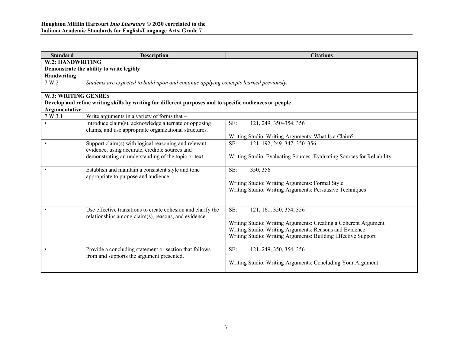| <b>Standard</b>            | <b>Description</b>                                                                                                   | <b>Citations</b>                                                       |  |
|----------------------------|----------------------------------------------------------------------------------------------------------------------|------------------------------------------------------------------------|--|
| W.2: HANDWRITING           |                                                                                                                      |                                                                        |  |
|                            | Demonstrate the ability to write legibly                                                                             |                                                                        |  |
| Handwriting                |                                                                                                                      |                                                                        |  |
| 7.W.2                      | Students are expected to build upon and continue applying concepts learned previously.                               |                                                                        |  |
| <b>W.3: WRITING GENRES</b> |                                                                                                                      |                                                                        |  |
|                            | Develop and refine writing skills by writing for different purposes and to specific audiences or people              |                                                                        |  |
| Argumentative              |                                                                                                                      |                                                                        |  |
| 7. W.3.1                   | Write arguments in a variety of forms that -                                                                         |                                                                        |  |
|                            | Introduce claim(s), acknowledge alternate or opposing                                                                | SE:<br>121, 249, 350-354, 356                                          |  |
|                            | claims, and use appropriate organizational structures.                                                               |                                                                        |  |
|                            |                                                                                                                      | Writing Studio: Writing Arguments: What Is a Claim?                    |  |
|                            | Support claim(s) with logical reasoning and relevant<br>evidence, using accurate, credible sources and               | 121, 192, 249, 347, 350-356<br>SE:                                     |  |
|                            | demonstrating an understanding of the topic or text.                                                                 | Writing Studio: Evaluating Sources: Evaluating Sources for Reliability |  |
|                            | Establish and maintain a consistent style and tone<br>appropriate to purpose and audience.                           | SE:<br>350, 356                                                        |  |
|                            |                                                                                                                      | Writing Studio: Writing Arguments: Formal Style                        |  |
|                            |                                                                                                                      | Writing Studio: Writing Arguments: Persuasive Techniques               |  |
|                            |                                                                                                                      |                                                                        |  |
|                            | Use effective transitions to create cohesion and clarify the<br>relationships among claim(s), reasons, and evidence. | SE:<br>121, 161, 350, 354, 356                                         |  |
|                            |                                                                                                                      | Writing Studio: Writing Arguments: Creating a Coherent Argument        |  |
|                            |                                                                                                                      | Writing Studio: Writing Arguments: Reasons and Evidence                |  |
|                            |                                                                                                                      | Writing Studio: Writing Arguments: Building Effective Support          |  |
|                            |                                                                                                                      |                                                                        |  |
|                            | Provide a concluding statement or section that follows                                                               | SE:<br>121, 249, 350, 354, 356                                         |  |
|                            | from and supports the argument presented.                                                                            |                                                                        |  |
|                            |                                                                                                                      | Writing Studio: Writing Arguments: Concluding Your Argument            |  |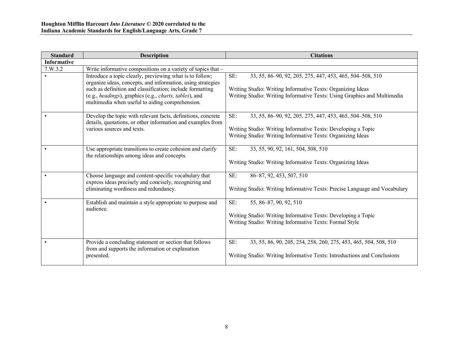| <b>Standard</b>    | <b>Description</b>                                                                                                                                                                                                                                                                                | <b>Citations</b>                                                                                                                                                                                           |
|--------------------|---------------------------------------------------------------------------------------------------------------------------------------------------------------------------------------------------------------------------------------------------------------------------------------------------|------------------------------------------------------------------------------------------------------------------------------------------------------------------------------------------------------------|
| <b>Informative</b> |                                                                                                                                                                                                                                                                                                   |                                                                                                                                                                                                            |
| 7. W.3.2           | Write informative compositions on a variety of topics that -                                                                                                                                                                                                                                      |                                                                                                                                                                                                            |
|                    | Introduce a topic clearly, previewing what is to follow;<br>organize ideas, concepts, and information, using strategies<br>such as definition and classification; include formatting<br>(e.g., headings), graphics (e.g., charts, tables), and<br>multimedia when useful to aiding comprehension. | SE:<br>33, 55, 86–90, 92, 205, 275, 447, 453, 465, 504–508, 510<br>Writing Studio: Writing Informative Texts: Organizing Ideas<br>Writing Studio: Writing Informative Texts: Using Graphics and Multimedia |
|                    | Develop the topic with relevant facts, definitions, concrete<br>details, quotations, or other information and examples from<br>various sources and texts.                                                                                                                                         | SE:<br>33, 55, 86–90, 92, 205, 275, 447, 453, 465, 504–508, 510<br>Writing Studio: Writing Informative Texts: Developing a Topic<br>Writing Studio: Writing Informative Texts: Organizing Ideas            |
|                    | Use appropriate transitions to create cohesion and clarify<br>the relationships among ideas and concepts.                                                                                                                                                                                         | SE:<br>33, 55, 90, 92, 161, 504, 508, 510<br>Writing Studio: Writing Informative Texts: Organizing Ideas                                                                                                   |
|                    | Choose language and content-specific vocabulary that<br>express ideas precisely and concisely, recognizing and<br>eliminating wordiness and redundancy.                                                                                                                                           | SE:<br>86-87, 92, 453, 507, 510<br>Writing Studio: Writing Informative Texts: Precise Language and Vocabulary                                                                                              |
|                    | Establish and maintain a style appropriate to purpose and<br>audience.                                                                                                                                                                                                                            | SE:<br>55, 86-87, 90, 92, 510<br>Writing Studio: Writing Informative Texts: Developing a Topic<br>Writing Studio: Writing Informative Texts: Formal Style                                                  |
|                    | Provide a concluding statement or section that follows<br>from and supports the information or explanation<br>presented.                                                                                                                                                                          | SE:<br>33, 55, 86, 90, 205, 254, 258, 260, 275, 453, 465, 504, 508, 510<br>Writing Studio: Writing Informative Texts: Introductions and Conclusions                                                        |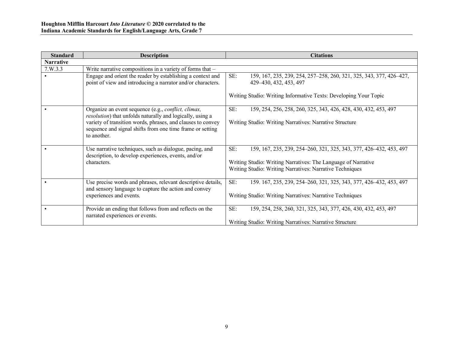| <b>Standard</b>  | <b>Description</b>                                                                                                                      | <b>Citations</b>                                                                                       |
|------------------|-----------------------------------------------------------------------------------------------------------------------------------------|--------------------------------------------------------------------------------------------------------|
| <b>Narrative</b> |                                                                                                                                         |                                                                                                        |
| 7. W. 3.3        | Write narrative compositions in a variety of forms that $-$                                                                             |                                                                                                        |
|                  | Engage and orient the reader by establishing a context and<br>point of view and introducing a narrator and/or characters.               | SE:<br>159, 167, 235, 239, 254, 257-258, 260, 321, 325, 343, 377, 426-427,<br>429 - 430, 432, 453, 497 |
|                  |                                                                                                                                         | Writing Studio: Writing Informative Texts: Developing Your Topic                                       |
|                  | Organize an event sequence (e.g., <i>conflict, climax</i> ,<br>resolution) that unfolds naturally and logically, using a                | SE:<br>159, 254, 256, 258, 260, 325, 343, 426, 428, 430, 432, 453, 497                                 |
|                  | variety of transition words, phrases, and clauses to convey<br>sequence and signal shifts from one time frame or setting<br>to another. | Writing Studio: Writing Narratives: Narrative Structure                                                |
|                  | Use narrative techniques, such as dialogue, pacing, and<br>description, to develop experiences, events, and/or                          | SE:<br>159, 167, 235, 239, 254–260, 321, 325, 343, 377, 426–432, 453, 497                              |
|                  | characters.                                                                                                                             | Writing Studio: Writing Narratives: The Language of Narrative                                          |
|                  |                                                                                                                                         | Writing Studio: Writing Narratives: Narrative Techniques                                               |
|                  | Use precise words and phrases, relevant descriptive details,<br>and sensory language to capture the action and convey                   | SE:<br>159. 167, 235, 239, 254-260, 321, 325, 343, 377, 426-432, 453, 497                              |
|                  | experiences and events.                                                                                                                 | Writing Studio: Writing Narratives: Narrative Techniques                                               |
|                  | Provide an ending that follows from and reflects on the<br>narrated experiences or events.                                              | SE:<br>159, 254, 258, 260, 321, 325, 343, 377, 426, 430, 432, 453, 497                                 |
|                  |                                                                                                                                         | Writing Studio: Writing Narratives: Narrative Structure                                                |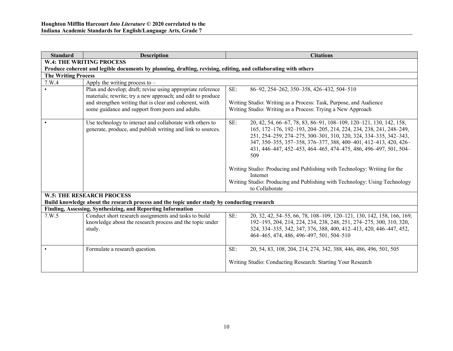| <b>Standard</b>            | <b>Description</b>                                                                                                          | <b>Citations</b>                                                                                                                                                                                                                                                                                                                                                                                                                                                                                                                         |
|----------------------------|-----------------------------------------------------------------------------------------------------------------------------|------------------------------------------------------------------------------------------------------------------------------------------------------------------------------------------------------------------------------------------------------------------------------------------------------------------------------------------------------------------------------------------------------------------------------------------------------------------------------------------------------------------------------------------|
|                            | <b>W.4: THE WRITING PROCESS</b>                                                                                             |                                                                                                                                                                                                                                                                                                                                                                                                                                                                                                                                          |
|                            | Produce coherent and legible documents by planning, drafting, revising, editing, and collaborating with others              |                                                                                                                                                                                                                                                                                                                                                                                                                                                                                                                                          |
| <b>The Writing Process</b> |                                                                                                                             |                                                                                                                                                                                                                                                                                                                                                                                                                                                                                                                                          |
| 7.W.4                      | Apply the writing process to $-$                                                                                            |                                                                                                                                                                                                                                                                                                                                                                                                                                                                                                                                          |
|                            | Plan and develop; draft; revise using appropriate reference                                                                 | SE:<br>86-92, 254-262, 350-358, 426-432, 504-510                                                                                                                                                                                                                                                                                                                                                                                                                                                                                         |
|                            | materials; rewrite; try a new approach; and edit to produce                                                                 |                                                                                                                                                                                                                                                                                                                                                                                                                                                                                                                                          |
|                            | and strengthen writing that is clear and coherent, with                                                                     | Writing Studio: Writing as a Process: Task, Purpose, and Audience                                                                                                                                                                                                                                                                                                                                                                                                                                                                        |
|                            | some guidance and support from peers and adults.                                                                            | Writing Studio: Writing as a Process: Trying a New Approach                                                                                                                                                                                                                                                                                                                                                                                                                                                                              |
|                            | Use technology to interact and collaborate with others to<br>generate, produce, and publish writing and link to sources.    | SE:<br>20, 42, 54, 66–67, 78, 83, 86–91, 108–109, 120–121, 130, 142, 158,<br>165, 172-176, 192-193, 204-205, 214, 224, 234, 238, 241, 248-249,<br>251, 254-259, 274-275, 300-301, 310, 320, 324, 334-335, 342-343,<br>347, 350-355, 357-358, 376-377, 388, 400-401, 412-413, 420, 426-<br>431, 446-447, 452-453, 464-465, 474-475, 486, 496-497, 501, 504-<br>509<br>Writing Studio: Producing and Publishing with Technology: Writing for the<br>Internet<br>Writing Studio: Producing and Publishing with Technology: Using Technology |
|                            |                                                                                                                             | to Collaborate                                                                                                                                                                                                                                                                                                                                                                                                                                                                                                                           |
|                            | <b>W.5: THE RESEARCH PROCESS</b>                                                                                            |                                                                                                                                                                                                                                                                                                                                                                                                                                                                                                                                          |
|                            | Build knowledge about the research process and the topic under study by conducting research                                 |                                                                                                                                                                                                                                                                                                                                                                                                                                                                                                                                          |
|                            | Finding, Assessing, Synthesizing, and Reporting Information                                                                 |                                                                                                                                                                                                                                                                                                                                                                                                                                                                                                                                          |
| 7.W.5                      | Conduct short research assignments and tasks to build<br>knowledge about the research process and the topic under<br>study. | SE:<br>20, 32, 42, 54–55, 66, 78, 108–109, 120–121, 130, 142, 158, 166, 169,<br>192-193, 204, 214, 224, 234, 238, 248, 251, 274-275, 300, 310, 320,<br>324, 334–335, 342, 347, 376, 388, 400, 412–413, 420, 446–447, 452,<br>464-465, 474, 486, 496-497, 501, 504-510                                                                                                                                                                                                                                                                    |
|                            | Formulate a research question.                                                                                              | SE:<br>20, 54, 83, 108, 204, 214, 274, 342, 388, 446, 486, 496, 501, 505                                                                                                                                                                                                                                                                                                                                                                                                                                                                 |
|                            |                                                                                                                             | Writing Studio: Conducting Research: Starting Your Research                                                                                                                                                                                                                                                                                                                                                                                                                                                                              |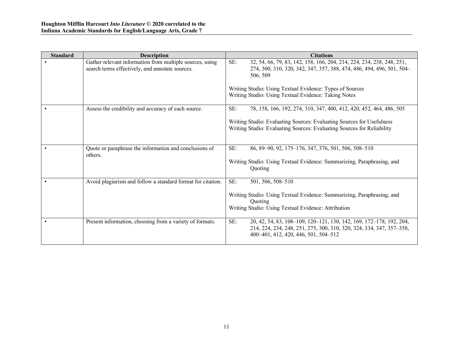| <b>Standard</b> | <b>Description</b>                                                                                          | <b>Citations</b>                                                                                                                                                                                                                                                                     |
|-----------------|-------------------------------------------------------------------------------------------------------------|--------------------------------------------------------------------------------------------------------------------------------------------------------------------------------------------------------------------------------------------------------------------------------------|
|                 | Gather relevant information from multiple sources, using<br>search terms effectively, and annotate sources. | SE:<br>32, 54, 66, 79, 83, 142, 158, 166, 204, 214, 224, 234, 238, 248, 251,<br>274, 300, 310, 320, 342, 347, 357, 388, 474, 486, 494, 496, 501, 504<br>506, 509<br>Writing Studio: Using Textual Evidence: Types of Sources<br>Writing Studio: Using Textual Evidence: Taking Notes |
|                 | Assess the credibility and accuracy of each source.                                                         | SE:<br>78, 158, 166, 192, 274, 310, 347, 400, 412, 420, 452, 464, 486, 505<br>Writing Studio: Evaluating Sources: Evaluating Sources for Usefulness<br>Writing Studio: Evaluating Sources: Evaluating Sources for Reliability                                                        |
|                 | Quote or paraphrase the information and conclusions of<br>others.                                           | SE:<br>86, 89-90, 92, 175-176, 347, 376, 501, 506, 508-510<br>Writing Studio: Using Textual Evidence: Summarizing, Paraphrasing, and<br>Quoting                                                                                                                                      |
|                 | Avoid plagiarism and follow a standard format for citation.                                                 | SE:<br>501, 506, 508-510<br>Writing Studio: Using Textual Evidence: Summarizing, Paraphrasing, and<br>Quoting<br>Writing Studio: Using Textual Evidence: Attribution                                                                                                                 |
|                 | Present information, choosing from a variety of formats.                                                    | SE:<br>20, 42, 54, 83, 108-109, 120-121, 130, 142, 169, 172-178, 192, 204,<br>214, 224, 234, 248, 251, 275, 300, 310, 320, 324, 334, 347, 357-358,<br>400–401, 412, 420, 446, 501, 504–512                                                                                           |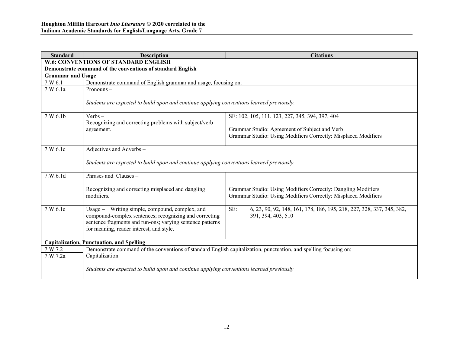| <b>Standard</b>                                  | <b>Description</b>                                                                                                                                                                                                | <b>Citations</b>                                                                                                                |  |
|--------------------------------------------------|-------------------------------------------------------------------------------------------------------------------------------------------------------------------------------------------------------------------|---------------------------------------------------------------------------------------------------------------------------------|--|
|                                                  | <b>W.6: CONVENTIONS OF STANDARD ENGLISH</b>                                                                                                                                                                       |                                                                                                                                 |  |
|                                                  | Demonstrate command of the conventions of standard English                                                                                                                                                        |                                                                                                                                 |  |
| <b>Grammar and Usage</b>                         |                                                                                                                                                                                                                   |                                                                                                                                 |  |
| 7.W.6.1                                          | Demonstrate command of English grammar and usage, focusing on:                                                                                                                                                    |                                                                                                                                 |  |
| 7.W.6.1a                                         | Pronouns-                                                                                                                                                                                                         |                                                                                                                                 |  |
|                                                  | Students are expected to build upon and continue applying conventions learned previously.                                                                                                                         |                                                                                                                                 |  |
| 7.W.6.1b                                         | $Verbs -$                                                                                                                                                                                                         | SE: 102, 105, 111. 123, 227, 345, 394, 397, 404                                                                                 |  |
|                                                  | Recognizing and correcting problems with subject/verb<br>agreement.                                                                                                                                               | Grammar Studio: Agreement of Subject and Verb<br>Grammar Studio: Using Modifiers Correctly: Misplaced Modifiers                 |  |
| 7. W. 6.1c                                       | Adjectives and Adverbs -                                                                                                                                                                                          |                                                                                                                                 |  |
|                                                  | Students are expected to build upon and continue applying conventions learned previously.                                                                                                                         |                                                                                                                                 |  |
| 7.W.6.1d                                         | Phrases and Clauses -                                                                                                                                                                                             |                                                                                                                                 |  |
|                                                  | Recognizing and correcting misplaced and dangling<br>modifiers.                                                                                                                                                   | Grammar Studio: Using Modifiers Correctly: Dangling Modifiers<br>Grammar Studio: Using Modifiers Correctly: Misplaced Modifiers |  |
| 7.W.6.1e                                         | Usage – Writing simple, compound, complex, and<br>compound-complex sentences; recognizing and correcting<br>sentence fragments and run-ons; varying sentence patterns<br>for meaning, reader interest, and style. | SE:<br>6, 23, 90, 92, 148, 161, 178, 186, 195, 218, 227, 328, 337, 345, 382,<br>391, 394, 403, 510                              |  |
| <b>Capitalization, Punctuation, and Spelling</b> |                                                                                                                                                                                                                   |                                                                                                                                 |  |
| 7.W.7.2                                          | Demonstrate command of the conventions of standard English capitalization, punctuation, and spelling focusing on:                                                                                                 |                                                                                                                                 |  |
| 7.W.7.2a                                         | Capitalization-                                                                                                                                                                                                   |                                                                                                                                 |  |
|                                                  | Students are expected to build upon and continue applying conventions learned previously                                                                                                                          |                                                                                                                                 |  |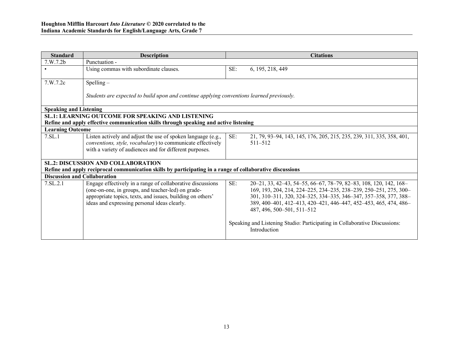| <b>Standard</b>                                                                       | <b>Description</b>                                                                                                                                                                                                             |     | <b>Citations</b>                                                                                                                                                                                                                                                                                             |  |  |
|---------------------------------------------------------------------------------------|--------------------------------------------------------------------------------------------------------------------------------------------------------------------------------------------------------------------------------|-----|--------------------------------------------------------------------------------------------------------------------------------------------------------------------------------------------------------------------------------------------------------------------------------------------------------------|--|--|
| 7.W.7.2b                                                                              | Punctuation -                                                                                                                                                                                                                  |     |                                                                                                                                                                                                                                                                                                              |  |  |
| $\bullet$                                                                             | Using commas with subordinate clauses.                                                                                                                                                                                         | SE: | 6, 195, 218, 449                                                                                                                                                                                                                                                                                             |  |  |
| 7. W. 7.2c                                                                            | $S$ pelling –                                                                                                                                                                                                                  |     |                                                                                                                                                                                                                                                                                                              |  |  |
|                                                                                       | Students are expected to build upon and continue applying conventions learned previously.                                                                                                                                      |     |                                                                                                                                                                                                                                                                                                              |  |  |
| <b>Speaking and Listening</b>                                                         |                                                                                                                                                                                                                                |     |                                                                                                                                                                                                                                                                                                              |  |  |
| <b>SL.1: LEARNING OUTCOME FOR SPEAKING AND LISTENING</b>                              |                                                                                                                                                                                                                                |     |                                                                                                                                                                                                                                                                                                              |  |  |
| Refine and apply effective communication skills through speaking and active listening |                                                                                                                                                                                                                                |     |                                                                                                                                                                                                                                                                                                              |  |  |
| <b>Learning Outcome</b>                                                               |                                                                                                                                                                                                                                |     |                                                                                                                                                                                                                                                                                                              |  |  |
| 7.SL.1                                                                                | Listen actively and adjust the use of spoken language (e.g.,<br>conventions, style, vocabulary) to communicate effectively<br>with a variety of audiences and for different purposes.                                          | SE: | 21, 79, 93–94, 143, 145, 176, 205, 215, 235, 239, 311, 335, 358, 401,<br>$511 - 512$                                                                                                                                                                                                                         |  |  |
|                                                                                       | <b>SL.2: DISCUSSION AND COLLABORATION</b>                                                                                                                                                                                      |     |                                                                                                                                                                                                                                                                                                              |  |  |
|                                                                                       | Refine and apply reciprocal communication skills by participating in a range of collaborative discussions                                                                                                                      |     |                                                                                                                                                                                                                                                                                                              |  |  |
| <b>Discussion and Collaboration</b>                                                   |                                                                                                                                                                                                                                |     |                                                                                                                                                                                                                                                                                                              |  |  |
| 7.SL.2.1                                                                              | Engage effectively in a range of collaborative discussions<br>(one-on-one, in groups, and teacher-led) on grade-<br>appropriate topics, texts, and issues, building on others'<br>ideas and expressing personal ideas clearly. | SE: | 20-21, 33, 42-43, 54-55, 66-67, 78-79, 82-83, 108, 120, 142, 168-<br>169, 193, 204, 214, 224–225, 234–235, 238–239, 250–251, 275, 300–<br>301, 310-311, 320, 324-325, 334-335, 346-347, 357-358, 377, 388-<br>389, 400-401, 412-413, 420-421, 446-447, 452-453, 465, 474, 486-<br>487, 496, 500–501, 511–512 |  |  |
|                                                                                       |                                                                                                                                                                                                                                |     | Speaking and Listening Studio: Participating in Collaborative Discussions:<br>Introduction                                                                                                                                                                                                                   |  |  |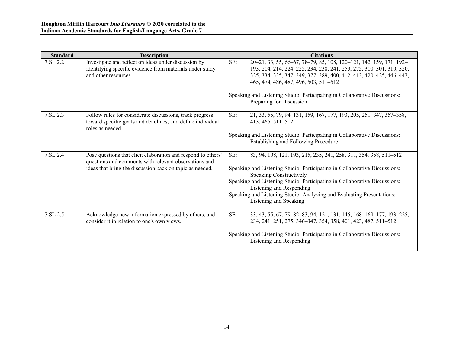| <b>Standard</b> | <b>Description</b>                                                                                                                                                                 | <b>Citations</b>                                                                                                                                                                                                                                                                                                                                                                                |
|-----------------|------------------------------------------------------------------------------------------------------------------------------------------------------------------------------------|-------------------------------------------------------------------------------------------------------------------------------------------------------------------------------------------------------------------------------------------------------------------------------------------------------------------------------------------------------------------------------------------------|
| 7.SL.2.2        | Investigate and reflect on ideas under discussion by<br>identifying specific evidence from materials under study<br>and other resources.                                           | SE:<br>20-21, 33, 55, 66-67, 78-79, 85, 108, 120-121, 142, 159, 171, 192-<br>193, 204, 214, 224-225, 234, 238, 241, 253, 275, 300-301, 310, 320,<br>325, 334-335, 347, 349, 377, 389, 400, 412-413, 420, 425, 446-447,<br>465, 474, 486, 487, 496, 503, 511-512<br>Speaking and Listening Studio: Participating in Collaborative Discussions:<br>Preparing for Discussion                       |
| 7.SL.2.3        | Follow rules for considerate discussions, track progress<br>toward specific goals and deadlines, and define individual<br>roles as needed.                                         | SE:<br>21, 33, 55, 79, 94, 131, 159, 167, 177, 193, 205, 251, 347, 357–358,<br>413, 465, 511-512<br>Speaking and Listening Studio: Participating in Collaborative Discussions:<br><b>Establishing and Following Procedure</b>                                                                                                                                                                   |
| 7.SL.2.4        | Pose questions that elicit elaboration and respond to others'<br>questions and comments with relevant observations and<br>ideas that bring the discussion back on topic as needed. | SE:<br>83, 94, 108, 121, 193, 215, 235, 241, 258, 311, 354, 358, 511–512<br>Speaking and Listening Studio: Participating in Collaborative Discussions:<br>Speaking Constructively<br>Speaking and Listening Studio: Participating in Collaborative Discussions:<br>Listening and Responding<br>Speaking and Listening Studio: Analyzing and Evaluating Presentations:<br>Listening and Speaking |
| 7.SL.2.5        | Acknowledge new information expressed by others, and<br>consider it in relation to one's own views.                                                                                | SE:<br>33, 43, 55, 67, 79, 82–83, 94, 121, 131, 145, 168–169, 177, 193, 225,<br>234, 241, 251, 275, 346–347, 354, 358, 401, 423, 487, 511–512<br>Speaking and Listening Studio: Participating in Collaborative Discussions:<br>Listening and Responding                                                                                                                                         |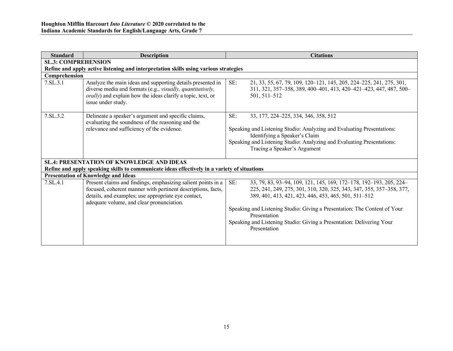| <b>Standard</b>                                                                              | <b>Description</b>                                                                                                                                                                                                               | <b>Citations</b>                                                                                                                                                                                                                                                                                                                                                                                |  |  |  |
|----------------------------------------------------------------------------------------------|----------------------------------------------------------------------------------------------------------------------------------------------------------------------------------------------------------------------------------|-------------------------------------------------------------------------------------------------------------------------------------------------------------------------------------------------------------------------------------------------------------------------------------------------------------------------------------------------------------------------------------------------|--|--|--|
| <b>SL.3: COMPREHENSION</b>                                                                   |                                                                                                                                                                                                                                  |                                                                                                                                                                                                                                                                                                                                                                                                 |  |  |  |
| Refine and apply active listening and interpretation skills using various strategies         |                                                                                                                                                                                                                                  |                                                                                                                                                                                                                                                                                                                                                                                                 |  |  |  |
| Comprehension                                                                                |                                                                                                                                                                                                                                  |                                                                                                                                                                                                                                                                                                                                                                                                 |  |  |  |
| 7.SL.3.1                                                                                     | Analyze the main ideas and supporting details presented in<br>diverse media and formats (e.g., visually, quantitatively,<br><i>orally</i> ) and explain how the ideas clarify a topic, text, or<br>issue under study.            | SE:<br>21, 33, 55, 67, 79, 109, 120–121, 145, 205, 224–225, 241, 275, 301,<br>311, 321, 357–358, 389, 400–401, 413, 420–421–423, 447, 487, 500–<br>501, 511–512                                                                                                                                                                                                                                 |  |  |  |
| 7.SL.3.2                                                                                     | Delineate a speaker's argument and specific claims,<br>evaluating the soundness of the reasoning and the<br>relevance and sufficiency of the evidence.                                                                           | SE:<br>33, 177, 224–225, 334, 346, 358, 512<br>Speaking and Listening Studio: Analyzing and Evaluating Presentations:<br>Identifying a Speaker's Claim<br>Speaking and Listening Studio: Analyzing and Evaluating Presentations:<br>Tracing a Speaker's Argument                                                                                                                                |  |  |  |
| <b>SL.4: PRESENTATION OF KNOWLEDGE AND IDEAS</b>                                             |                                                                                                                                                                                                                                  |                                                                                                                                                                                                                                                                                                                                                                                                 |  |  |  |
| Refine and apply speaking skills to communicate ideas effectively in a variety of situations |                                                                                                                                                                                                                                  |                                                                                                                                                                                                                                                                                                                                                                                                 |  |  |  |
|                                                                                              | <b>Presentation of Knowledge and Ideas</b>                                                                                                                                                                                       |                                                                                                                                                                                                                                                                                                                                                                                                 |  |  |  |
| 7.SL.4.1                                                                                     | Present claims and findings, emphasizing salient points in a<br>focused, coherent manner with pertinent descriptions, facts,<br>details, and examples; use appropriate eye contact,<br>adequate volume, and clear pronunciation. | SE:<br>33, 79, 83, 93-94, 109, 121, 145, 169, 172-178, 192-193, 205, 224-<br>225, 241, 249, 275, 301, 310, 320, 325, 343, 347, 355, 357-358, 377,<br>389, 401, 413, 421, 423, 446, 453, 465, 501, 511-512<br>Speaking and Listening Studio: Giving a Presentation: The Content of Your<br>Presentation<br>Speaking and Listening Studio: Giving a Presentation: Delivering Your<br>Presentation |  |  |  |